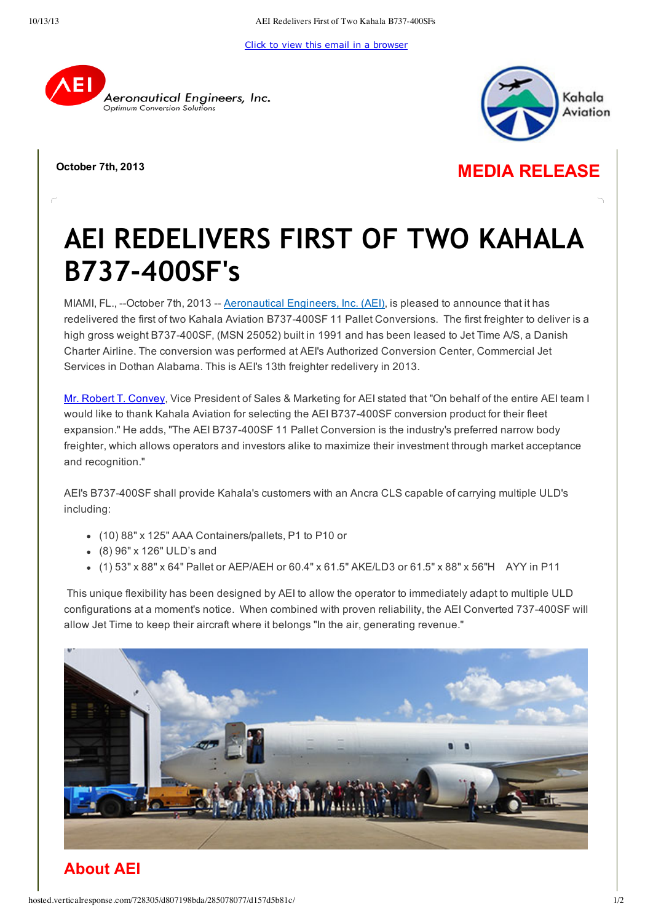Click to view this email in a [browser](http://hosted.verticalresponse.com/728305/d807198bda/TEST/TEST/)







# **AEI REDELIVERS FIRST OF TWO KAHALA B737‐400SF's**

MIAMI, FL., --October 7th, 2013 -- [Aeronautical](http://cts.vresp.com/c/?AeronauticalEngineer/d807198bda/d157d5b81c/1b4635a229) Engineers, Inc. (AEI), is pleased to announce that it has redelivered the first of two Kahala Aviation B737400SF 11 Pallet Conversions. The first freighter to deliver is a high gross weight B737-400SF, (MSN 25052) built in 1991 and has been leased to Jet Time A/S, a Danish Charter Airline. The conversion was performed at AEI's Authorized Conversion Center, Commercial Jet Services in Dothan Alabama. This is AEI's 13th freighter redelivery in 2013.

Mr. Robert T. [Convey,](mailto:rconvey@aeronautical-engineers.com) Vice President of Sales & Marketing for AEI stated that "On behalf of the entire AEI team I would like to thank Kahala Aviation for selecting the AEI B737-400SF conversion product for their fleet expansion." He adds, "The AEI B737-400SF 11 Pallet Conversion is the industry's preferred narrow body freighter, which allows operators and investors alike to maximize their investment through market acceptance and recognition."

AEI's B737400SF shall provide Kahala's customers with an Ancra CLS capable of carrying multiple ULD's including:

- (10) 88" x 125" AAA Containers/pallets, P1 to P10 or
- (8) 96" x 126" ULD's and
- (1) 53" x 88" x 64" Pallet or AEP/AEH or 60.4" x 61.5" AKE/LD3 or 61.5" x 88" x 56"H AYY in P11

This unique flexibility has been designed by AEI to allow the operator to immediately adapt to multiple ULD configurations at a moment's notice. When combined with proven reliability, the AEI Converted 737-400SF will allow Jet Time to keep their aircraft where it belongs "In the air, generating revenue."



## **About AEI**